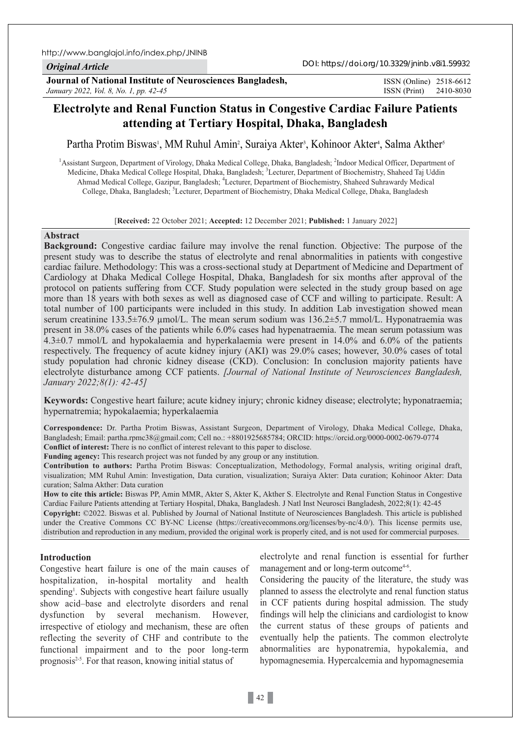## *Original Article*

**Journal of National Institute of Neurosciences Bangladesh,** *January 2022, Vol. 8, No. 1, pp. 42-45*

ISSN (Print) 2410-8030 ISSN (Online) 2518-6612

# **Electrolyte and Renal Function Status in Congestive Cardiac Failure Patients attending at Tertiary Hospital, Dhaka, Bangladesh**

Partha Protim Biswas<sup>1</sup>, MM Ruhul Amin<sup>2</sup>, Suraiya Akter<sup>3</sup>, Kohinoor Akter<sup>4</sup>, Salma Akther<sup>s</sup>

<sup>1</sup> Assistant Surgeon, Department of Virology, Dhaka Medical College, Dhaka, Bangladesh; <sup>2</sup>Indoor Medical Officer, Department of Medicine, Dhaka Medical College Hospital, Dhaka, Bangladesh; <sup>3</sup>Lecturer, Department of Biochemistry, Shaheed Taj Uddin Ahmad Medical College, Gazipur, Bangladesh; 4 Lecturer, Department of Biochemistry, Shaheed Suhrawardy Medical College, Dhaka, Bangladesh; <sup>5</sup>Lecturer, Department of Biochemistry, Dhaka Medical College, Dhaka, Bangladesh

#### [**Received:** 22 October 2021; **Accepted:** 12 December 2021; **Published:** 1 January 2022]

### **Abstract**

**Background:** Congestive cardiac failure may involve the renal function. Objective: The purpose of the present study was to describe the status of electrolyte and renal abnormalities in patients with congestive cardiac failure. Methodology: This was a cross-sectional study at Department of Medicine and Department of Cardiology at Dhaka Medical College Hospital, Dhaka, Bangladesh for six months after approval of the protocol on patients suffering from CCF. Study population were selected in the study group based on age more than 18 years with both sexes as well as diagnosed case of CCF and willing to participate. Result: A total number of 100 participants were included in this study. In addition Lab investigation showed mean serum creatinine 133.5±76.9 µmol/L. The mean serum sodium was 136.2±5.7 mmol/L. Hyponatraemia was present in 38.0% cases of the patients while 6.0% cases had hypenatraemia. The mean serum potassium was 4.3±0.7 mmol/L and hypokalaemia and hyperkalaemia were present in 14.0% and 6.0% of the patients respectively. The frequency of acute kidney injury (AKI) was 29.0% cases; however, 30.0% cases of total study population had chronic kidney disease (CKD). Conclusion: In conclusion majority patients have electrolyte disturbance among CCF patients. *[Journal of National Institute of Neurosciences Bangladesh, January 2022;8(1): 42-45]*

**Keywords:** Congestive heart failure; acute kidney injury; chronic kidney disease; electrolyte; hyponatraemia; hypernatremia; hypokalaemia; hyperkalaemia

**Correspondence:** Dr. Partha Protim Biswas, Assistant Surgeon, Department of Virology, Dhaka Medical College, Dhaka, Bangladesh; Email: partha.rpmc38@gmail.com; Cell no.: +8801925685784; ORCID: https://orcid.org/0000-0002-0679-0774 **Conflict of interest:** There is no conflict of interest relevant to this paper to disclose.

**Funding agency:** This research project was not funded by any group or any institution.

**Contribution to authors:** Partha Protim Biswas: Conceptualization, Methodology, Formal analysis, writing original draft, visualization; MM Ruhul Amin: Investigation, Data curation, visualization; Suraiya Akter: Data curation; Kohinoor Akter: Data curation; Salma Akther: Data curation

**How to cite this article:** Biswas PP, Amin MMR, Akter S, Akter K, Akther S. Electrolyte and Renal Function Status in Congestive Cardiac Failure Patients attending at Tertiary Hospital, Dhaka, Bangladesh. J Natl Inst Neurosci Bangladesh, 2022;8(1): 42-45 **Copyright:** ©2022. Biswas et al. Published by Journal of National Institute of Neurosciences Bangladesh. This article is published under the Creative Commons CC BY-NC License (https://creativecommons.org/licenses/by-nc/4.0/). This license permits use, distribution and reproduction in any medium, provided the original work is properly cited, and is not used for commercial purposes.

#### **Introduction**

Congestive heart failure is one of the main causes of hospitalization, in-hospital mortality and health spending<sup>1</sup>. Subjects with congestive heart failure usually show acid–base and electrolyte disorders and renal dysfunction by several mechanism. However, irrespective of etiology and mechanism, these are often reflecting the severity of CHF and contribute to the functional impairment and to the poor long-term prognosis<sup>2-5</sup>. For that reason, knowing initial status of

electrolyte and renal function is essential for further management and or long-term outcome<sup>4-6</sup>.

Considering the paucity of the literature, the study was planned to assess the electrolyte and renal function status in CCF patients during hospital admission. The study findings will help the clinicians and cardiologist to know the current status of these groups of patients and eventually help the patients. The common electrolyte abnormalities are hyponatremia, hypokalemia, and hypomagnesemia. Hypercalcemia and hypomagnesemia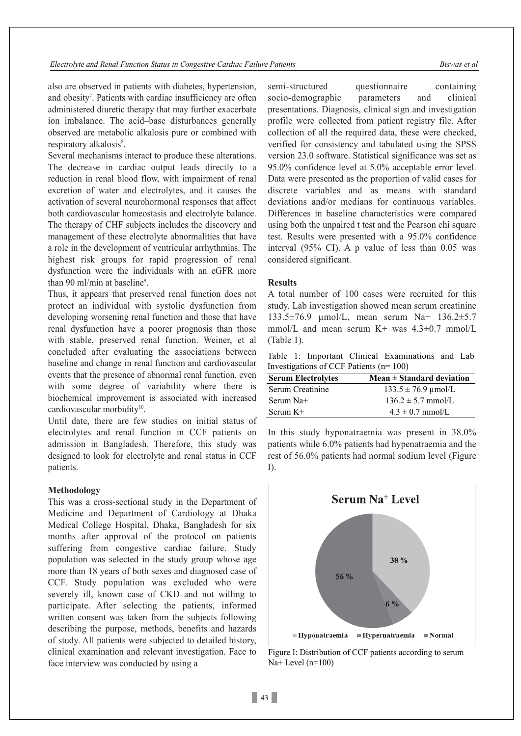*Electrolyte and Renal Function Status in Congestive Cardiac Failure Patients Biswas et al*

also are observed in patients with diabetes, hypertension, and obesity<sup>7</sup>. Patients with cardiac insufficiency are often administered diuretic therapy that may further exacerbate ion imbalance. The acid–base disturbances generally observed are metabolic alkalosis pure or combined with respiratory alkalosis<sup>8</sup>.

Several mechanisms interact to produce these alterations. The decrease in cardiac output leads directly to a reduction in renal blood flow, with impairment of renal excretion of water and electrolytes, and it causes the activation of several neurohormonal responses that affect both cardiovascular homeostasis and electrolyte balance. The therapy of CHF subjects includes the discovery and management of these electrolyte abnormalities that have a role in the development of ventricular arrhythmias. The highest risk groups for rapid progression of renal dysfunction were the individuals with an eGFR more than 90 ml/min at baseline<sup>9</sup>.

Thus, it appears that preserved renal function does not protect an individual with systolic dysfunction from developing worsening renal function and those that have renal dysfunction have a poorer prognosis than those with stable, preserved renal function. Weiner, et al concluded after evaluating the associations between baseline and change in renal function and cardiovascular events that the presence of abnormal renal function, even with some degree of variability where there is biochemical improvement is associated with increased cardiovascular morbidity<sup>10</sup>.

Until date, there are few studies on initial status of electrolytes and renal function in CCF patients on admission in Bangladesh. Therefore, this study was designed to look for electrolyte and renal status in CCF patients.

#### **Methodology**

This was a cross-sectional study in the Department of Medicine and Department of Cardiology at Dhaka Medical College Hospital, Dhaka, Bangladesh for six months after approval of the protocol on patients suffering from congestive cardiac failure. Study population was selected in the study group whose age more than 18 years of both sexes and diagnosed case of CCF. Study population was excluded who were severely ill, known case of CKD and not willing to participate. After selecting the patients, informed written consent was taken from the subjects following describing the purpose, methods, benefits and hazards of study. All patients were subjected to detailed history, clinical examination and relevant investigation. Face to face interview was conducted by using a

semi-structured questionnaire containing socio-demographic parameters and clinical presentations. Diagnosis, clinical sign and investigation profile were collected from patient registry file. After collection of all the required data, these were checked, verified for consistency and tabulated using the SPSS version 23.0 software. Statistical significance was set as 95.0% confidence level at 5.0% acceptable error level. Data were presented as the proportion of valid cases for discrete variables and as means with standard deviations and/or medians for continuous variables. Differences in baseline characteristics were compared using both the unpaired t test and the Pearson chi square test. Results were presented with a 95.0% confidence interval (95% CI). A p value of less than 0.05 was considered significant.

## **Results**

A total number of 100 cases were recruited for this study. Lab investigation showed mean serum creatinine 133.5±76.9 µmol/L, mean serum Na+ 136.2±5.7 mmol/L and mean serum  $K^+$  was  $4.3\pm0.7$  mmol/L (Table 1).

Table 1: Important Clinical Examinations and Lab Investigations of CCF Patients (n= 100)

| <b>Serum Electrolytes</b> | $Mean \pm Standard$ deviation |
|---------------------------|-------------------------------|
| Serum Creatinine          | $133.5 \pm 76.9 \mu$ mol/L    |
| Serum Na+                 | $136.2 \pm 5.7$ mmol/L        |
| Serum $K+$                | $4.3 \pm 0.7$ mmol/L          |

In this study hyponatraemia was present in 38.0% patients while 6.0% patients had hypenatraemia and the rest of 56.0% patients had normal sodium level (Figure I).



Figure I: Distribution of CCF patients according to serum Na+ Level (n=100)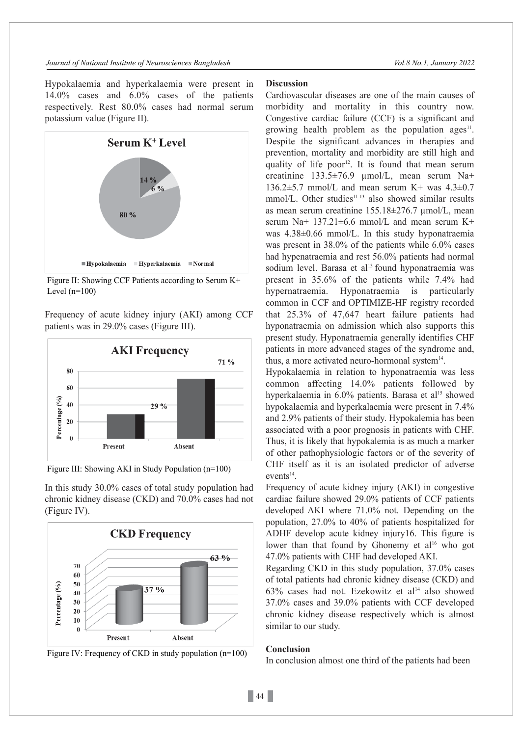Hypokalaemia and hyperkalaemia were present in 14.0% cases and 6.0% cases of the patients respectively. Rest 80.0% cases had normal serum potassium value (Figure II).



Figure II: Showing CCF Patients according to Serum K+ Level  $(n=100)$ 

Frequency of acute kidney injury (AKI) among CCF patients was in 29.0% cases (Figure III).





In this study 30.0% cases of total study population had chronic kidney disease (CKD) and 70.0% cases had not (Figure IV).





# **Discussion**

Cardiovascular diseases are one of the main causes of morbidity and mortality in this country now. Congestive cardiac failure (CCF) is a significant and growing health problem as the population ages<sup>11</sup>. Despite the significant advances in therapies and prevention, mortality and morbidity are still high and quality of life poor 12. It is found that mean serum creatinine 133.5±76.9 µmol/L, mean serum Na+ 136.2 $\pm$ 5.7 mmol/L and mean serum K+ was 4.3 $\pm$ 0.7  $mmol/L$ . Other studies<sup>11-13</sup> also showed similar results as mean serum creatinine 155.18±276.7 µmol/L, mean serum Na+ 137.21±6.6 mmol/L and mean serum K+ was 4.38±0.66 mmol/L. In this study hyponatraemia was present in 38.0% of the patients while 6.0% cases had hypenatraemia and rest 56.0% patients had normal sodium level. Barasa et al 13 found hyponatraemia was present in 35.6% of the patients while 7.4% had hypernatraemia. Hyponatraemia is particularly common in CCF and OPTIMIZE-HF registry recorded that 25.3% of 47,647 heart failure patients had hyponatraemia on admission which also supports this present study. Hyponatraemia generally identifies CHF patients in more advanced stages of the syndrome and, thus, a more activated neuro-hormonal system $14$ .

Hypokalaemia in relation to hyponatraemia was less common affecting 14.0% patients followed by hyperkalaemia in 6.0% patients. Barasa et al 15 showed hypokalaemia and hyperkalaemia were present in 7.4% and 2.9% patients of their study. Hypokalemia has been associated with a poor prognosis in patients with CHF. Thus, it is likely that hypokalemia is as much a marker of other pathophysiologic factors or of the severity of CHF itself as it is an isolated predictor of adverse  $events<sup>14</sup>$ .

Frequency of acute kidney injury (AKI) in congestive cardiac failure showed 29.0% patients of CCF patients developed AKI where 71.0% not. Depending on the population, 27.0% to 40% of patients hospitalized for ADHF develop acute kidney injury16. This figure is lower than that found by Ghonemy et al<sup>16</sup> who got 47.0% patients with CHF had developed AKI.

Regarding CKD in this study population, 37.0% cases of total patients had chronic kidney disease (CKD) and 63% cases had not. Ezekowitz et al 14 also showed 37.0% cases and 39.0% patients with CCF developed chronic kidney disease respectively which is almost similar to our study.

# **Conclusion**

In conclusion almost one third of the patients had been